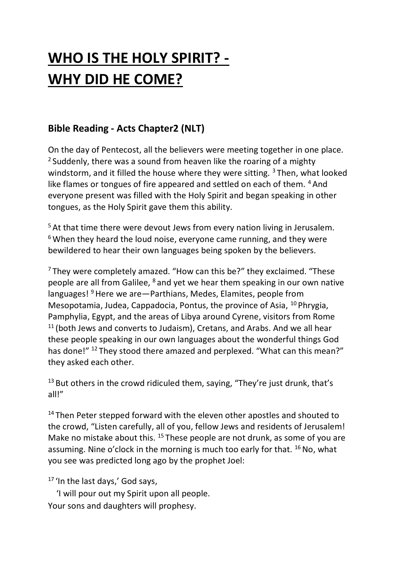# **WHO IS THE HOLY SPIRIT? - WHY DID HE COME?**

# **Bible Reading - Acts Chapter2 (NLT)**

On the day of Pentecost, all the believers were meeting together in one place. <sup>2</sup> Suddenly, there was a sound from heaven like the roaring of a mighty windstorm, and it filled the house where they were sitting.  $3$  Then, what looked like flames or tongues of fire appeared and settled on each of them. <sup>4</sup> And everyone present was filled with the Holy Spirit and began speaking in other tongues, as the Holy Spirit gave them this ability.

<sup>5</sup> At that time there were devout Jews from every nation living in Jerusalem.  $6$  When they heard the loud noise, everyone came running, and they were bewildered to hear their own languages being spoken by the believers.

<sup>7</sup> They were completely amazed. "How can this be?" they exclaimed. "These people are all from Galilee, <sup>8</sup> and yet we hear them speaking in our own native languages!  $9$  Here we are  $-$  Parthians, Medes, Elamites, people from Mesopotamia, Judea, Cappadocia, Pontus, the province of Asia, <sup>10</sup> Phrygia, Pamphylia, Egypt, and the areas of Libya around Cyrene, visitors from Rome  $11$  (both Jews and converts to Judaism), Cretans, and Arabs. And we all hear these people speaking in our own languages about the wonderful things God has done!" <sup>12</sup> They stood there amazed and perplexed. "What can this mean?" they asked each other.

 $13$  But others in the crowd ridiculed them, saying, "They're just drunk, that's all!"

<sup>14</sup> Then Peter stepped forward with the eleven other apostles and shouted to the crowd, "Listen carefully, all of you, fellow Jews and residents of Jerusalem! Make no mistake about this. <sup>15</sup> These people are not drunk, as some of you are assuming. Nine o'clock in the morning is much too early for that. <sup>16</sup> No, what you see was predicted long ago by the prophet Joel:

<sup>17</sup> 'In the last days,' God says,

 'I will pour out my Spirit upon all people. Your sons and daughters will prophesy.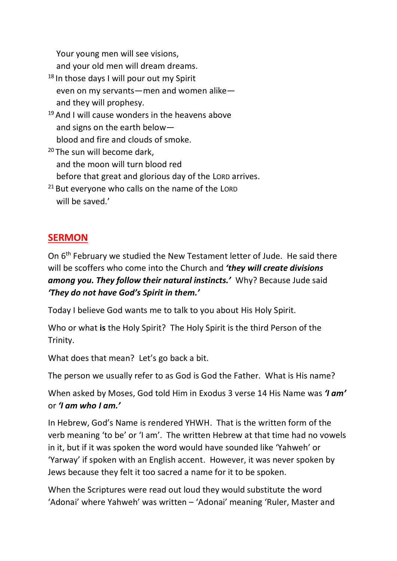Your young men will see visions,

and your old men will dream dreams.

- $18$  In those days I will pour out my Spirit even on my servants—men and women alike and they will prophesy.
- $19$  And I will cause wonders in the heavens above and signs on the earth below blood and fire and clouds of smoke.
- <sup>20</sup> The sun will become dark, and the moon will turn blood red before that great and glorious day of the LORD arrives.
- $21$  But everyone who calls on the name of the LORD will be saved.'

# **SERMON**

On 6<sup>th</sup> February we studied the New Testament letter of Jude. He said there will be scoffers who come into the Church and *'they will create divisions among you. They follow their natural instincts.'* Why? Because Jude said *'They do not have God's Spirit in them.'*

Today I believe God wants me to talk to you about His Holy Spirit.

Who or what **is** the Holy Spirit? The Holy Spirit is the third Person of the Trinity.

What does that mean? Let's go back a bit.

The person we usually refer to as God is God the Father. What is His name?

When asked by Moses, God told Him in Exodus 3 verse 14 His Name was *'I am'* or *'I am who I am.'*

In Hebrew, God's Name is rendered YHWH. That is the written form of the verb meaning 'to be' or 'I am'. The written Hebrew at that time had no vowels in it, but if it was spoken the word would have sounded like 'Yahweh' or 'Yarway' if spoken with an English accent. However, it was never spoken by Jews because they felt it too sacred a name for it to be spoken.

When the Scriptures were read out loud they would substitute the word 'Adonai' where Yahweh' was written – 'Adonai' meaning 'Ruler, Master and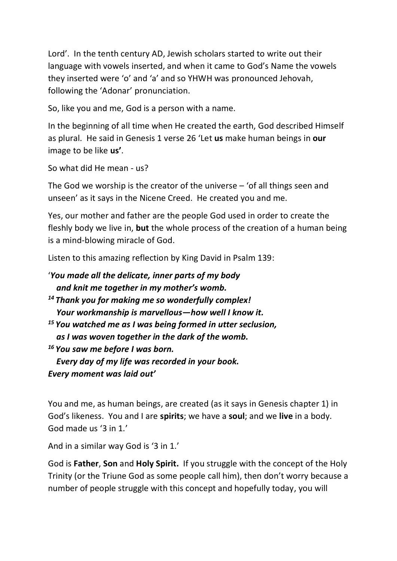Lord'. In the tenth century AD, Jewish scholars started to write out their language with vowels inserted, and when it came to God's Name the vowels they inserted were 'o' and 'a' and so YHWH was pronounced Jehovah, following the 'Adonar' pronunciation.

So, like you and me, God is a person with a name.

In the beginning of all time when He created the earth, God described Himself as plural. He said in Genesis 1 verse 26 'Let **us** make human beings in **our** image to be like **us'**.

So what did He mean - us?

The God we worship is the creator of the universe – 'of all things seen and unseen' as it says in the Nicene Creed. He created you and me.

Yes, our mother and father are the people God used in order to create the fleshly body we live in, **but** the whole process of the creation of a human being is a mind-blowing miracle of God.

Listen to this amazing reflection by King David in Psalm 139:

```
'You made all the delicate, inner parts of my body
   and knit me together in my mother's womb.
14 Thank you for making me so wonderfully complex!
   Your workmanship is marvellous—how well I know it.
15 You watched me as I was being formed in utter seclusion,
   as I was woven together in the dark of the womb.
16 You saw me before I was born.
   Every day of my life was recorded in your book.
Every moment was laid out'
```
You and me, as human beings, are created (as it says in Genesis chapter 1) in God's likeness. You and I are **spirits**; we have a **soul**; and we **live** in a body. God made us '3 in 1.'

And in a similar way God is '3 in 1.'

God is **Father**, **Son** and **Holy Spirit.** If you struggle with the concept of the Holy Trinity (or the Triune God as some people call him), then don't worry because a number of people struggle with this concept and hopefully today, you will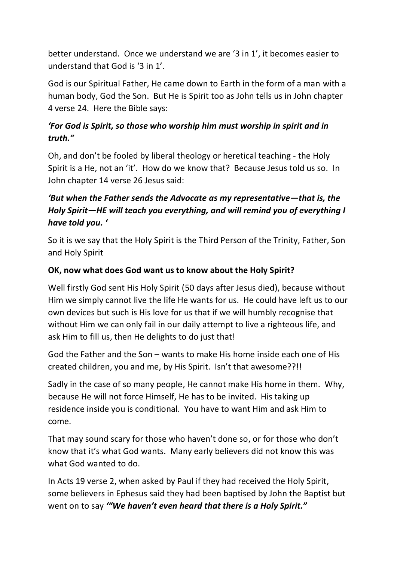better understand. Once we understand we are '3 in 1', it becomes easier to understand that God is '3 in 1'.

God is our Spiritual Father, He came down to Earth in the form of a man with a human body, God the Son. But He is Spirit too as John tells us in John chapter 4 verse 24. Here the Bible says:

## *'For God is Spirit, so those who worship him must worship in spirit and in truth."*

Oh, and don't be fooled by liberal theology or heretical teaching - the Holy Spirit is a He, not an 'it'. How do we know that? Because Jesus told us so. In John chapter 14 verse 26 Jesus said:

# *'But when the Father sends the Advocate as my representative—that is, the Holy Spirit—HE will teach you everything, and will remind you of everything I have told you. '*

So it is we say that the Holy Spirit is the Third Person of the Trinity, Father, Son and Holy Spirit

### **OK, now what does God want us to know about the Holy Spirit?**

Well firstly God sent His Holy Spirit (50 days after Jesus died), because without Him we simply cannot live the life He wants for us. He could have left us to our own devices but such is His love for us that if we will humbly recognise that without Him we can only fail in our daily attempt to live a righteous life, and ask Him to fill us, then He delights to do just that!

God the Father and the Son – wants to make His home inside each one of His created children, you and me, by His Spirit. Isn't that awesome??!!

Sadly in the case of so many people, He cannot make His home in them. Why, because He will not force Himself, He has to be invited. His taking up residence inside you is conditional. You have to want Him and ask Him to come.

That may sound scary for those who haven't done so, or for those who don't know that it's what God wants. Many early believers did not know this was what God wanted to do.

In Acts 19 verse 2, when asked by Paul if they had received the Holy Spirit, some believers in Ephesus said they had been baptised by John the Baptist but went on to say *'"We haven't even heard that there is a Holy Spirit."*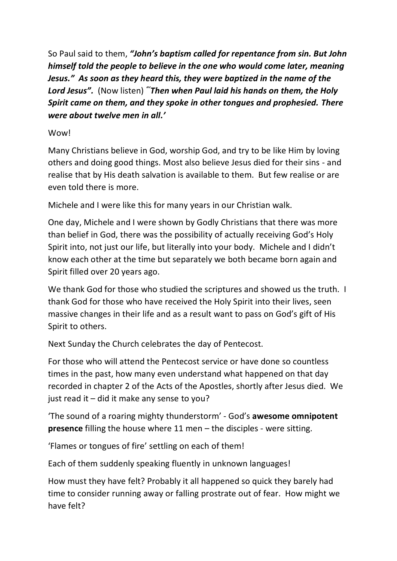So Paul said to them, *"John's baptism called for repentance from sin. But John himself told the people to believe in the one who would come later, meaning Jesus." As soon as they heard this, they were baptized in the name of the Lord Jesus".* (Now listen) *"'Then when Paul laid his hands on them, the Holy Spirit came on them, and they spoke in other tongues and prophesied. There were about twelve men in all.'*

#### Wow!

Many Christians believe in God, worship God, and try to be like Him by loving others and doing good things. Most also believe Jesus died for their sins - and realise that by His death salvation is available to them. But few realise or are even told there is more.

Michele and I were like this for many years in our Christian walk.

One day, Michele and I were shown by Godly Christians that there was more than belief in God, there was the possibility of actually receiving God's Holy Spirit into, not just our life, but literally into your body. Michele and I didn't know each other at the time but separately we both became born again and Spirit filled over 20 years ago.

We thank God for those who studied the scriptures and showed us the truth. I thank God for those who have received the Holy Spirit into their lives, seen massive changes in their life and as a result want to pass on God's gift of His Spirit to others.

Next Sunday the Church celebrates the day of Pentecost.

For those who will attend the Pentecost service or have done so countless times in the past, how many even understand what happened on that day recorded in chapter 2 of the Acts of the Apostles, shortly after Jesus died. We just read it – did it make any sense to you?

'The sound of a roaring mighty thunderstorm' - God's **awesome omnipotent presence** filling the house where 11 men – the disciples - were sitting.

'Flames or tongues of fire' settling on each of them!

Each of them suddenly speaking fluently in unknown languages!

How must they have felt? Probably it all happened so quick they barely had time to consider running away or falling prostrate out of fear. How might we have felt?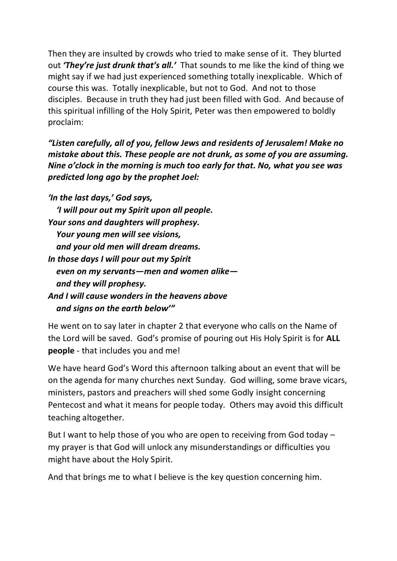Then they are insulted by crowds who tried to make sense of it. They blurted out *'They're just drunk that's all.'* That sounds to me like the kind of thing we might say if we had just experienced something totally inexplicable. Which of course this was. Totally inexplicable, but not to God. And not to those disciples. Because in truth they had just been filled with God. And because of this spiritual infilling of the Holy Spirit, Peter was then empowered to boldly proclaim:

*"Listen carefully, all of you, fellow Jews and residents of Jerusalem! Make no mistake about this. These people are not drunk, as some of you are assuming. Nine o'clock in the morning is much too early for that. No, what you see was predicted long ago by the prophet Joel:*

*'In the last days,' God says, 'I will pour out my Spirit upon all people. Your sons and daughters will prophesy. Your young men will see visions, and your old men will dream dreams. In those days I will pour out my Spirit even on my servants—men and women alike and they will prophesy. And I will cause wonders in the heavens above and signs on the earth below'"*

He went on to say later in chapter 2 that everyone who calls on the Name of the Lord will be saved. God's promise of pouring out His Holy Spirit is for **ALL people** - that includes you and me!

We have heard God's Word this afternoon talking about an event that will be on the agenda for many churches next Sunday. God willing, some brave vicars, ministers, pastors and preachers will shed some Godly insight concerning Pentecost and what it means for people today. Others may avoid this difficult teaching altogether.

But I want to help those of you who are open to receiving from God today – my prayer is that God will unlock any misunderstandings or difficulties you might have about the Holy Spirit.

And that brings me to what I believe is the key question concerning him.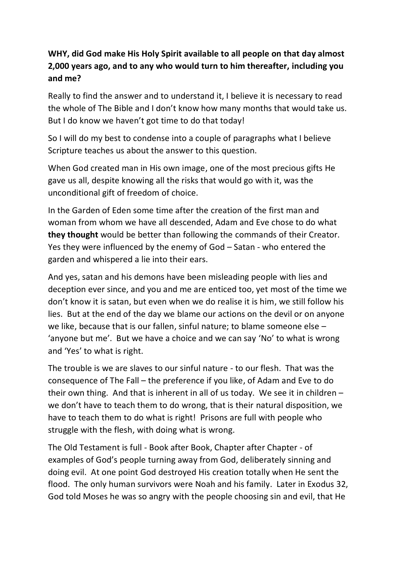## **WHY, did God make His Holy Spirit available to all people on that day almost 2,000 years ago, and to any who would turn to him thereafter, including you and me?**

Really to find the answer and to understand it, I believe it is necessary to read the whole of The Bible and I don't know how many months that would take us. But I do know we haven't got time to do that today!

So I will do my best to condense into a couple of paragraphs what I believe Scripture teaches us about the answer to this question.

When God created man in His own image, one of the most precious gifts He gave us all, despite knowing all the risks that would go with it, was the unconditional gift of freedom of choice.

In the Garden of Eden some time after the creation of the first man and woman from whom we have all descended, Adam and Eve chose to do what **they thought** would be better than following the commands of their Creator. Yes they were influenced by the enemy of God – Satan - who entered the garden and whispered a lie into their ears.

And yes, satan and his demons have been misleading people with lies and deception ever since, and you and me are enticed too, yet most of the time we don't know it is satan, but even when we do realise it is him, we still follow his lies. But at the end of the day we blame our actions on the devil or on anyone we like, because that is our fallen, sinful nature; to blame someone else – 'anyone but me'. But we have a choice and we can say 'No' to what is wrong and 'Yes' to what is right.

The trouble is we are slaves to our sinful nature - to our flesh. That was the consequence of The Fall – the preference if you like, of Adam and Eve to do their own thing. And that is inherent in all of us today. We see it in children – we don't have to teach them to do wrong, that is their natural disposition, we have to teach them to do what is right! Prisons are full with people who struggle with the flesh, with doing what is wrong.

The Old Testament is full - Book after Book, Chapter after Chapter - of examples of God's people turning away from God, deliberately sinning and doing evil. At one point God destroyed His creation totally when He sent the flood. The only human survivors were Noah and his family. Later in Exodus 32, God told Moses he was so angry with the people choosing sin and evil, that He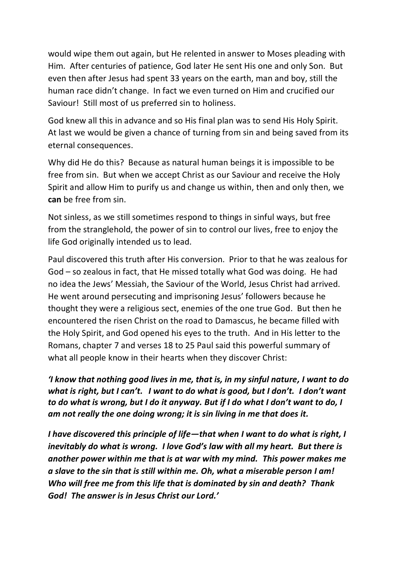would wipe them out again, but He relented in answer to Moses pleading with Him. After centuries of patience, God later He sent His one and only Son. But even then after Jesus had spent 33 years on the earth, man and boy, still the human race didn't change. In fact we even turned on Him and crucified our Saviour! Still most of us preferred sin to holiness.

God knew all this in advance and so His final plan was to send His Holy Spirit. At last we would be given a chance of turning from sin and being saved from its eternal consequences.

Why did He do this? Because as natural human beings it is impossible to be free from sin. But when we accept Christ as our Saviour and receive the Holy Spirit and allow Him to purify us and change us within, then and only then, we **can** be free from sin.

Not sinless, as we still sometimes respond to things in sinful ways, but free from the stranglehold, the power of sin to control our lives, free to enjoy the life God originally intended us to lead.

Paul discovered this truth after His conversion. Prior to that he was zealous for God – so zealous in fact, that He missed totally what God was doing. He had no idea the Jews' Messiah, the Saviour of the World, Jesus Christ had arrived. He went around persecuting and imprisoning Jesus' followers because he thought they were a religious sect, enemies of the one true God. But then he encountered the risen Christ on the road to Damascus, he became filled with the Holy Spirit, and God opened his eyes to the truth. And in His letter to the Romans, chapter 7 and verses 18 to 25 Paul said this powerful summary of what all people know in their hearts when they discover Christ:

*'I know that nothing good lives in me, that is, in my sinful nature, I want to do what is right, but I can't. I want to do what is good, but I don't. I don't want to do what is wrong, but I do it anyway. But if I do what I don't want to do, I am not really the one doing wrong; it is sin living in me that does it.*

*I have discovered this principle of life—that when I want to do what is right, I inevitably do what is wrong. I love God's law with all my heart. But there is another power within me that is at war with my mind. This power makes me a slave to the sin that is still within me. Oh, what a miserable person I am! Who will free me from this life that is dominated by sin and death? Thank God! The answer is in Jesus Christ our Lord.'*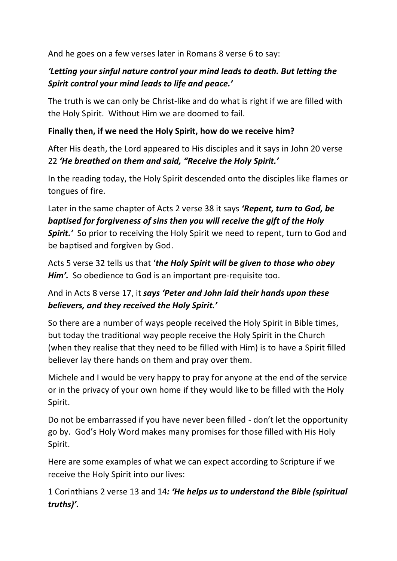And he goes on a few verses later in Romans 8 verse 6 to say:

## *'Letting your sinful nature control your mind leads to death. But letting the Spirit control your mind leads to life and peace.'*

The truth is we can only be Christ-like and do what is right if we are filled with the Holy Spirit. Without Him we are doomed to fail.

## **Finally then, if we need the Holy Spirit, how do we receive him?**

After His death, the Lord appeared to His disciples and it says in John 20 verse 22 *'He breathed on them and said, "Receive the Holy Spirit.'*

In the reading today, the Holy Spirit descended onto the disciples like flames or tongues of fire.

## Later in the same chapter of Acts 2 verse 38 it says *'Repent, turn to God, be baptised for forgiveness of sins then you will receive the gift of the Holy*  **Spirit.'** So prior to receiving the Holy Spirit we need to repent, turn to God and be baptised and forgiven by God.

Acts 5 verse 32 tells us that '*the Holy Spirit will be given to those who obey Him'.* So obedience to God is an important pre-requisite too.

## And in Acts 8 verse 17, it *says 'Peter and John laid their hands upon these believers, and they received the Holy Spirit.'*

So there are a number of ways people received the Holy Spirit in Bible times, but today the traditional way people receive the Holy Spirit in the Church (when they realise that they need to be filled with Him) is to have a Spirit filled believer lay there hands on them and pray over them.

Michele and I would be very happy to pray for anyone at the end of the service or in the privacy of your own home if they would like to be filled with the Holy Spirit.

Do not be embarrassed if you have never been filled - don't let the opportunity go by. God's Holy Word makes many promises for those filled with His Holy Spirit.

Here are some examples of what we can expect according to Scripture if we receive the Holy Spirit into our lives:

1 Corinthians 2 verse 13 and 14*: 'He helps us to understand the Bible (spiritual truths)'.*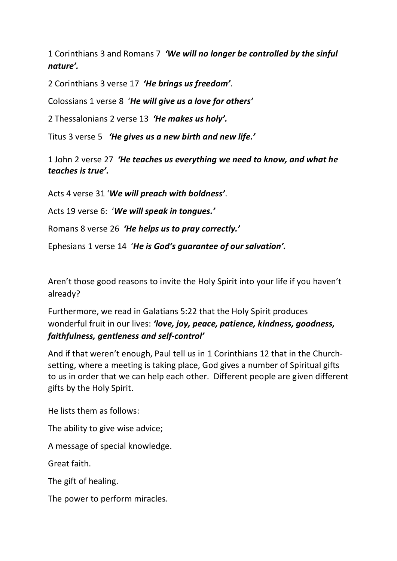1 Corinthians 3 and Romans 7 *'We will no longer be controlled by the sinful nature'.*

2 Corinthians 3 verse 17 *'He brings us freedom'*.

Colossians 1 verse 8 '*He will give us a love for others'*

2 Thessalonians 2 verse 13 *'He makes us holy'.*

Titus [3 verse](https://www.biblegateway.com/passage/?search=Titus+3:5&version=NLT) 5 *'He gives us a new birth and new life.'*

[1 John 2 verse](https://www.biblegateway.com/passage/?search=1%20John+2:27&version=NLT) 27 *'He teaches us everything we need to know, and what he teaches is true'.*

Acts 4 verse 31 '*We will preach with boldness'*.

Acts 19 verse 6: '*We will speak in tongues.'*

Romans 8 verse 26 *'He helps us to pray correctly.'*

Ephesians 1 verse 14 '*He is God's guarantee of our salvation'.*

Aren't those good reasons to invite the Holy Spirit into your life if you haven't already?

Furthermore, we read in [Galatians 5:22](https://www.biblegateway.com/passage/?search=Galatians+5:22&version=NLT) that the Holy Spirit produces wonderful fruit in our lives: *'love, joy, peace, patience, kindness, goodness, faithfulness, gentleness and self-control'*

And if that weren't enough, Paul tell us in 1 Corinthians 12 that in the Churchsetting, where a meeting is taking place, God gives a number of Spiritual gifts to us in order that we can help each other. Different people are given different gifts by the Holy Spirit.

He lists them as follows:

The ability to give wise advice;

A message of special knowledge.

Great faith.

The gift of healing.

The power to perform miracles.